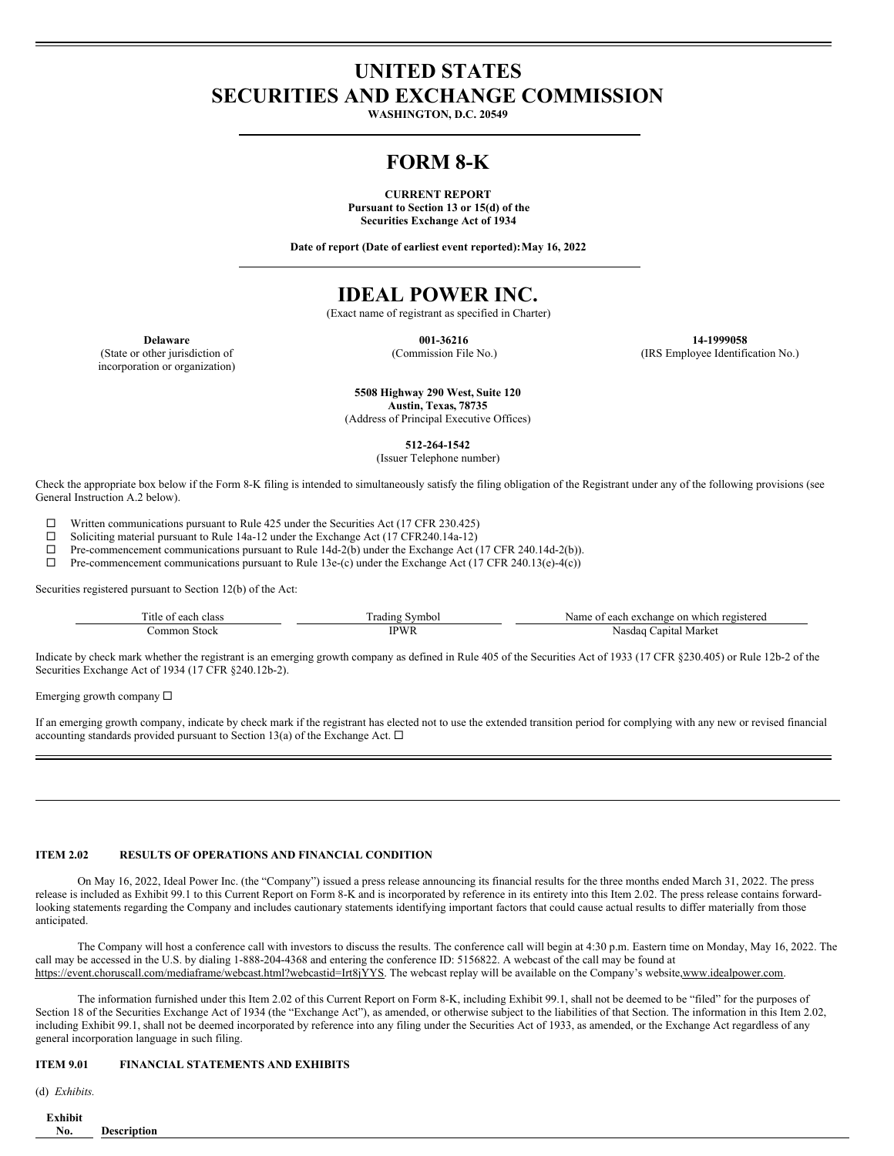# **UNITED STATES SECURITIES AND EXCHANGE COMMISSION**

**WASHINGTON, D.C. 20549**

# **FORM 8-K**

**CURRENT REPORT Pursuant to Section 13 or 15(d) of the Securities Exchange Act of 1934**

**Date of report (Date of earliest event reported):May 16, 2022**

# **IDEAL POWER INC.**

(Exact name of registrant as specified in Charter)

(State or other jurisdiction of incorporation or organization)

**Delaware 001-36216 14-1999058** (Commission File No.) (IRS Employee Identification No.)

> **5508 Highway 290 West, Suite 120 Austin, Texas, 78735**

(Address of Principal Executive Offices)

**512-264-1542**

(Issuer Telephone number)

Check the appropriate box below if the Form 8-K filing is intended to simultaneously satisfy the filing obligation of the Registrant under any of the following provisions (see General Instruction A.2 below).

 $□$  Written communications pursuant to Rule 425 under the Securities Act (17 CFR 230.425)<br>
□ Soliciting material pursuant to Rule 14a-12 under the Exchange Act (17 CFR 240 14a-12)

Soliciting material pursuant to Rule 14a-12 under the Exchange Act (17 CFR240.14a-12)

 $\Box$  Pre-commencement communications pursuant to Rule 14d-2(b) under the Exchange Act (17 CFR 240.14d-2(b)).<br>  $\Box$  Pre-commencement communications pursuant to Rule 13e-(c) under the Exchange Act (17 CFR 240.13(e)-4(c))

Pre-commencement communications pursuant to Rule 13e-(c) under the Exchange Act (17 CFR 240.13(e)-4(c))

Securities registered pursuant to Section 12(b) of the Act:

| m.<br>l'itle of<br>each class | symbol<br>rading | ı which registered<br>each exchange on<br>Name o <sup>+</sup> |
|-------------------------------|------------------|---------------------------------------------------------------|
| `ommon<br>Stock               | <b>PWR</b>       | ∴apıtal Market<br>Nasdaq                                      |

Indicate by check mark whether the registrant is an emerging growth company as defined in Rule 405 of the Securities Act of 1933 (17 CFR §230.405) or Rule 12b-2 of the Securities Exchange Act of 1934 (17 CFR §240.12b-2).

Emerging growth company  $\Box$ 

If an emerging growth company, indicate by check mark if the registrant has elected not to use the extended transition period for complying with any new or revised financial accounting standards provided pursuant to Section 13(a) of the Exchange Act.  $\Box$ 

### **ITEM 2.02 RESULTS OF OPERATIONS AND FINANCIAL CONDITION**

On May 16, 2022, Ideal Power Inc. (the "Company") issued a press release announcing its financial results for the three months ended March 31, 2022. The press release is included as Exhibit 99.1 to this Current Report on Form 8-K and is incorporated by reference in its entirety into this Item 2.02. The press release contains forwardlooking statements regarding the Company and includes cautionary statements identifying important factors that could cause actual results to differ materially from those anticipated.

The Company will host a conference call with investors to discuss the results. The conference call will begin at 4:30 p.m. Eastern time on Monday, May 16, 2022. The call may be accessed in the U.S. by dialing 1-888-204-4368 and entering the conference ID: 5156822. A webcast of the call may be found at https://event.choruscall.com/mediaframe/webcast.html?webcastid=Irt8jYYS. The webcast replay will be available on the Company's website,www.idealpower.com.

The information furnished under this Item 2.02 of this Current Report on Form 8-K, including Exhibit 99.1, shall not be deemed to be "filed" for the purposes of Section 18 of the Securities Exchange Act of 1934 (the "Exchange Act"), as amended, or otherwise subject to the liabilities of that Section. The information in this Item 2.02, including Exhibit 99.1, shall not be deemed incorporated by reference into any filing under the Securities Act of 1933, as amended, or the Exchange Act regardless of any general incorporation language in such filing.

## **ITEM 9.01 FINANCIAL STATEMENTS AND EXHIBITS**

(d) *Exhibits.*

| Exhibit                   |                    |  |  |
|---------------------------|--------------------|--|--|
| $\mathbf{v}_{\mathbf{a}}$ | <b>Description</b> |  |  |
|                           |                    |  |  |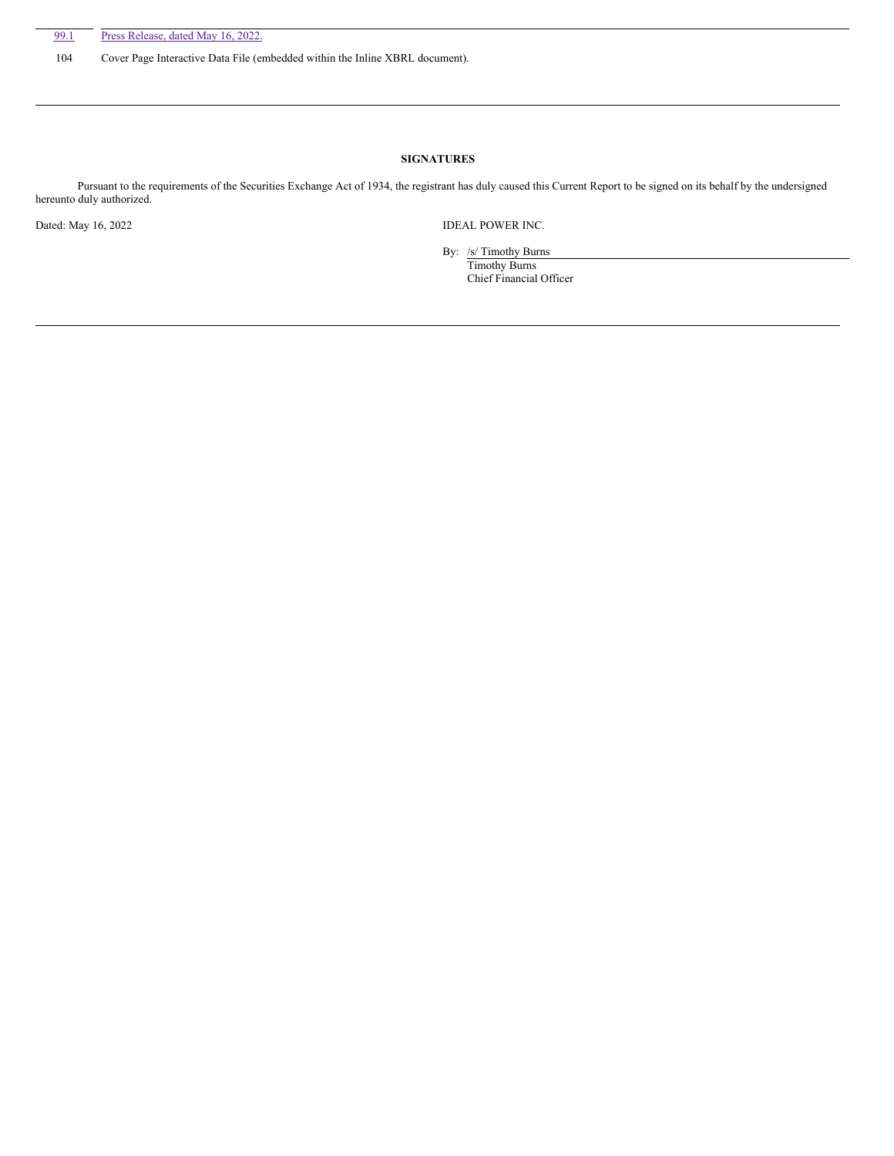104 Cover Page Interactive Data File (embedded within the Inline XBRL document).

# **SIGNATURES**

Pursuant to the requirements of the Securities Exchange Act of 1934, the registrant has duly caused this Current Report to be signed on its behalf by the undersigned hereunto duly authorized.

Dated: May 16, 2022 **IDEAL POWER INC.** 

By: /s/ Timothy Burns

Timothy Burns Chief Financial Officer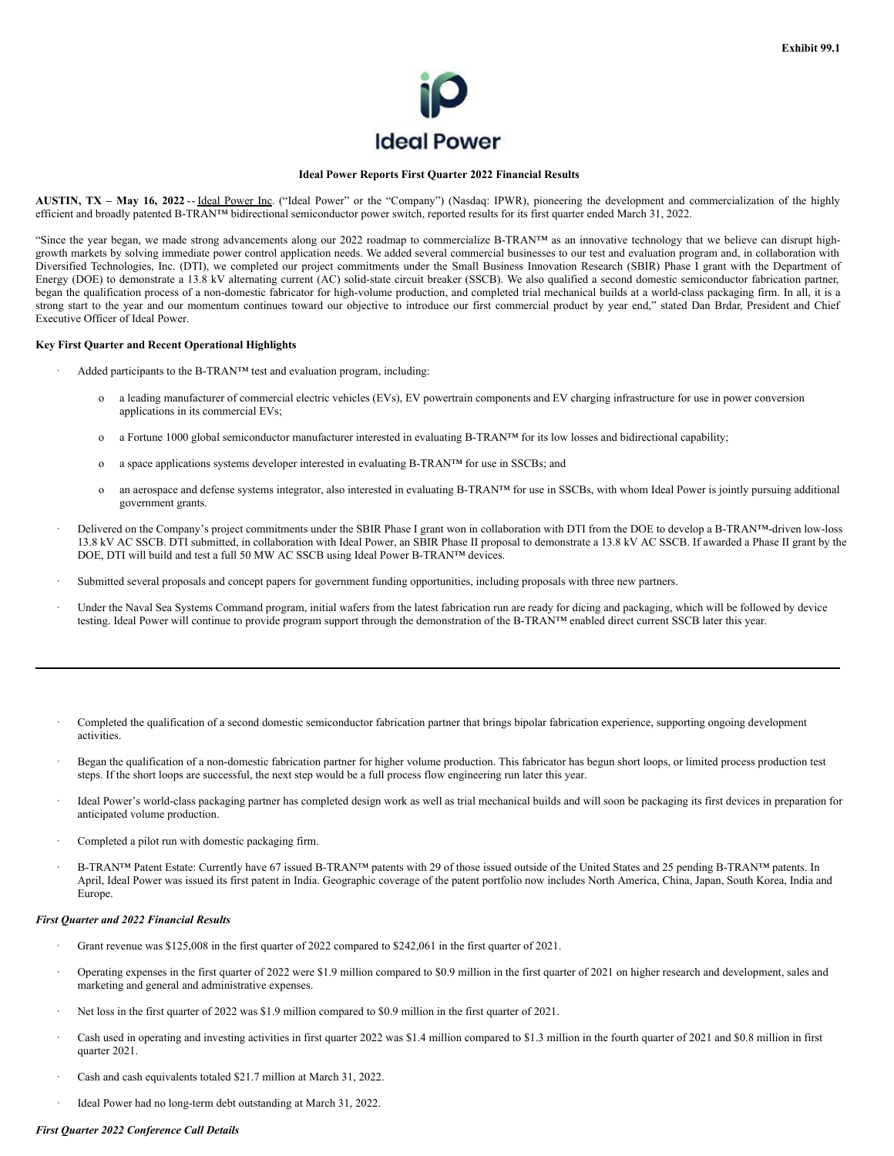

## **Ideal Power Reports First Quarter 2022 Financial Results**

**AUSTIN, TX – May 16, 2022** -- Ideal Power Inc. ("Ideal Power" or the "Company") (Nasdaq: IPWR), pioneering the development and commercialization of the highly efficient and broadly patented B-TRAN™ bidirectional semiconductor power switch, reported results for its first quarter ended March 31, 2022.

"Since the year began, we made strong advancements along our 2022 roadmap to commercialize B-TRAN™ as an innovative technology that we believe can disrupt highgrowth markets by solving immediate power control application needs. We added several commercial businesses to our test and evaluation program and, in collaboration with Diversified Technologies, Inc. (DTI), we completed our project commitments under the Small Business Innovation Research (SBIR) Phase I grant with the Department of Energy (DOE) to demonstrate a 13.8 kV alternating current (AC) solid-state circuit breaker (SSCB). We also qualified a second domestic semiconductor fabrication partner, began the qualification process of a non-domestic fabricator for high-volume production, and completed trial mechanical builds at a world-class packaging firm. In all, it is a strong start to the year and our momentum continues toward our objective to introduce our first commercial product by year end," stated Dan Brdar, President and Chief Executive Officer of Ideal Power.

### **Key First Quarter and Recent Operational Highlights**

- Added participants to the B-TRAN™ test and evaluation program, including:
	- o a leading manufacturer of commercial electric vehicles (EVs), EV powertrain components and EV charging infrastructure for use in power conversion applications in its commercial EVs;
	- o a Fortune 1000 global semiconductor manufacturer interested in evaluating B-TRAN™ for its low losses and bidirectional capability;
	- o a space applications systems developer interested in evaluating B-TRAN™ for use in SSCBs; and
	- o an aerospace and defense systems integrator, also interested in evaluating B-TRAN™ for use in SSCBs, with whom Ideal Power is jointly pursuing additional government grants.
- · Delivered on the Company's project commitments under the SBIR Phase I grant won in collaboration with DTI from the DOE to develop a B-TRAN™-driven low-loss 13.8 kV AC SSCB. DTI submitted, in collaboration with Ideal Power, an SBIR Phase II proposal to demonstrate a 13.8 kV AC SSCB. If awarded a Phase II grant by the DOE, DTI will build and test a full 50 MW AC SSCB using Ideal Power B-TRAN™ devices.
- Submitted several proposals and concept papers for government funding opportunities, including proposals with three new partners.
- Under the Naval Sea Systems Command program, initial wafers from the latest fabrication run are ready for dicing and packaging, which will be followed by device testing. Ideal Power will continue to provide program support through the demonstration of the B-TRAN™ enabled direct current SSCB later this year.
- · Completed the qualification of a second domestic semiconductor fabrication partner that brings bipolar fabrication experience, supporting ongoing development activities.
- · Began the qualification of a non-domestic fabrication partner for higher volume production. This fabricator has begun short loops, or limited process production test steps. If the short loops are successful, the next step would be a full process flow engineering run later this year.
- · Ideal Power's world-class packaging partner has completed design work as well as trial mechanical builds and will soon be packaging its first devices in preparation for anticipated volume production.
- Completed a pilot run with domestic packaging firm.
- · B-TRAN™ Patent Estate: Currently have 67 issued B-TRAN™ patents with 29 of those issued outside of the United States and 25 pending B-TRAN™ patents. In April, Ideal Power was issued its first patent in India. Geographic coverage of the patent portfolio now includes North America, China, Japan, South Korea, India and Europe.

#### *First Quarter and 2022 Financial Results*

- Grant revenue was \$125,008 in the first quarter of 2022 compared to \$242,061 in the first quarter of 2021.
- · Operating expenses in the first quarter of 2022 were \$1.9 million compared to \$0.9 million in the first quarter of 2021 on higher research and development, sales and marketing and general and administrative expenses.
- Net loss in the first quarter of 2022 was \$1.9 million compared to \$0.9 million in the first quarter of 2021.
- Cash used in operating and investing activities in first quarter 2022 was \$1.4 million compared to \$1.3 million in the fourth quarter of 2021 and \$0.8 million in first quarter 2021.
- Cash and cash equivalents totaled \$21.7 million at March 31, 2022.
- Ideal Power had no long-term debt outstanding at March 31, 2022.

## *First Quarter 2022 Conference Call Details*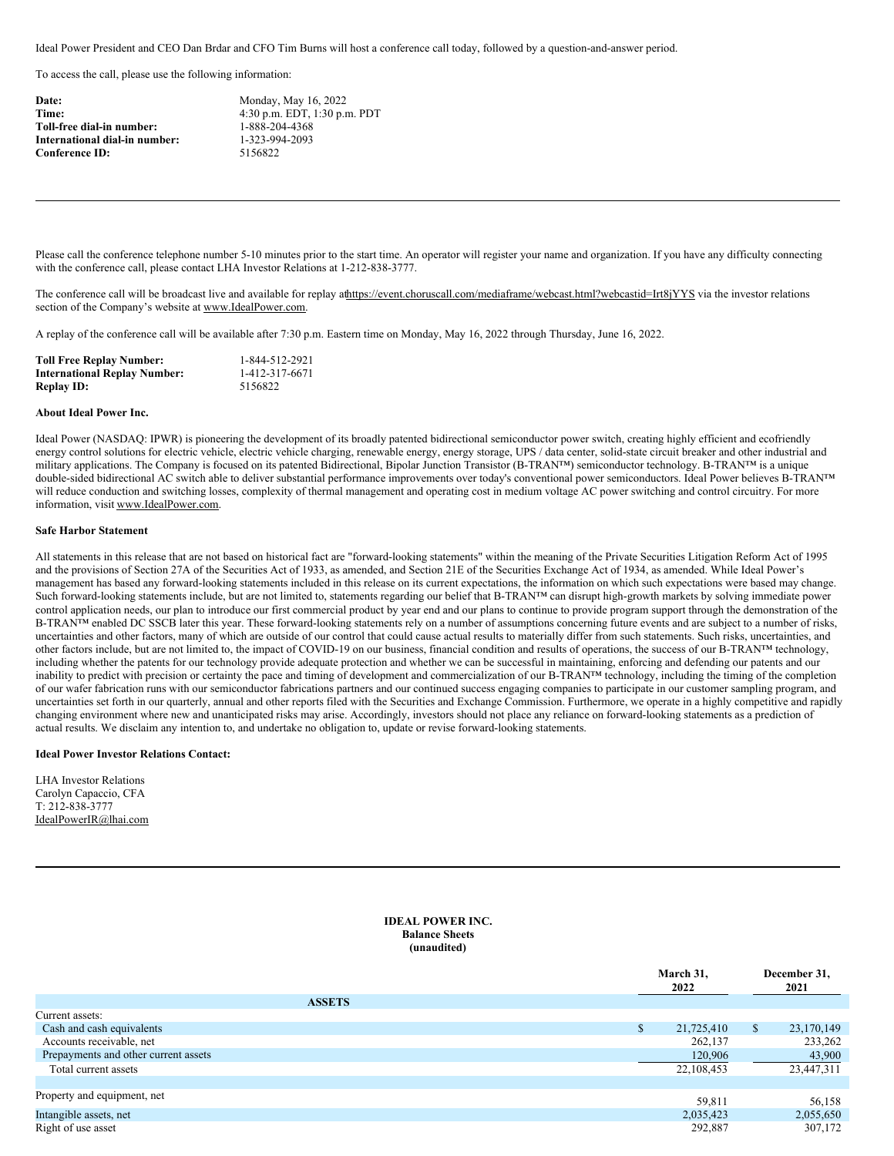<span id="page-3-0"></span>Ideal Power President and CEO Dan Brdar and CFO Tim Burns will host a conference call today, followed by a question-and-answer period.

To access the call, please use the following information:

| Date:                       |
|-----------------------------|
| Time:                       |
| Toll-free dial-in number:   |
| International dial-in numbe |
| <b>Conference ID:</b>       |
|                             |

**Date:** Monday, May 16, 2022 **Time:** 4:30 p.m. EDT, 1:30 p.m. PDT **Toll-free dial-in number:** 1-888-204-4368 **International dial-in number:** 1-323-994-2093 **Conference ID:** 5156822

Please call the conference telephone number 5-10 minutes prior to the start time. An operator will register your name and organization. If you have any difficulty connecting with the conference call, please contact LHA Investor Relations at 1-212-838-3777.

The conference call will be broadcast live and available for replay athttps://event.choruscall.com/mediaframe/webcast.html?webcastid=Irt8jYYS via the investor relations section of the Company's website at www.IdealPower.com.

A replay of the conference call will be available after 7:30 p.m. Eastern time on Monday, May 16, 2022 through Thursday, June 16, 2022.

| <b>Toll Free Replay Number:</b>     | 1-844-512-2921 |
|-------------------------------------|----------------|
| <b>International Replay Number:</b> | 1-412-317-6671 |
| <b>Replay ID:</b>                   | 5156822        |

## **About Ideal Power Inc.**

Ideal Power (NASDAQ: IPWR) is pioneering the development of its broadly patented bidirectional semiconductor power switch, creating highly efficient and ecofriendly energy control solutions for electric vehicle, electric vehicle charging, renewable energy, energy storage, UPS / data center, solid-state circuit breaker and other industrial and military applications. The Company is focused on its patented Bidirectional, Bipolar Junction Transistor (B-TRAN™) semiconductor technology. B-TRAN™ is a unique double-sided bidirectional AC switch able to deliver substantial performance improvements over today's conventional power semiconductors. Ideal Power believes B-TRAN™ will reduce conduction and switching losses, complexity of thermal management and operating cost in medium voltage AC power switching and control circuitry. For more information, visit www.IdealPower.com.

## **Safe Harbor Statement**

All statements in this release that are not based on historical fact are "forward-looking statements" within the meaning of the Private Securities Litigation Reform Act of 1995 and the provisions of Section 27A of the Securities Act of 1933, as amended, and Section 21E of the Securities Exchange Act of 1934, as amended. While Ideal Power's management has based any forward-looking statements included in this release on its current expectations, the information on which such expectations were based may change. Such forward-looking statements include, but are not limited to, statements regarding our belief that B-TRAN™ can disrupt high-growth markets by solving immediate power control application needs, our plan to introduce our first commercial product by year end and our plans to continue to provide program support through the demonstration of the B-TRAN™ enabled DC SSCB later this year. These forward-looking statements rely on a number of assumptions concerning future events and are subject to a number of risks, uncertainties and other factors, many of which are outside of our control that could cause actual results to materially differ from such statements. Such risks, uncertainties, and other factors include, but are not limited to, the impact of COVID-19 on our business, financial condition and results of operations, the success of our B-TRAN™ technology, including whether the patents for our technology provide adequate protection and whether we can be successful in maintaining, enforcing and defending our patents and our inability to predict with precision or certainty the pace and timing of development and commercialization of our B-TRAN™ technology, including the timing of the completion of our wafer fabrication runs with our semiconductor fabrications partners and our continued success engaging companies to participate in our customer sampling program, and uncertainties set forth in our quarterly, annual and other reports filed with the Securities and Exchange Commission. Furthermore, we operate in a highly competitive and rapidly changing environment where new and unanticipated risks may arise. Accordingly, investors should not place any reliance on forward-looking statements as a prediction of actual results. We disclaim any intention to, and undertake no obligation to, update or revise forward-looking statements.

### **Ideal Power Investor Relations Contact:**

LHA Investor Relations Carolyn Capaccio, CFA T: 212-838-3777 IdealPowerIR@lhai.com

## **IDEAL POWER INC. Balance Sheets (unaudited)**

|                                      | March 31,<br>2022 |               | December 31,<br>2021 |  |
|--------------------------------------|-------------------|---------------|----------------------|--|
| <b>ASSETS</b>                        |                   |               |                      |  |
| Current assets:                      |                   |               |                      |  |
| Cash and cash equivalents            | 21,725,410        | <sup>\$</sup> | 23,170,149           |  |
| Accounts receivable, net             | 262,137           |               | 233,262              |  |
| Prepayments and other current assets | 120,906           |               | 43,900               |  |
| Total current assets                 | 22,108,453        |               | 23,447,311           |  |
|                                      |                   |               |                      |  |
| Property and equipment, net          | 59,811            |               | 56,158               |  |
| Intangible assets, net               | 2,035,423         |               | 2,055,650            |  |
| Right of use asset                   | 292,887           |               | 307,172              |  |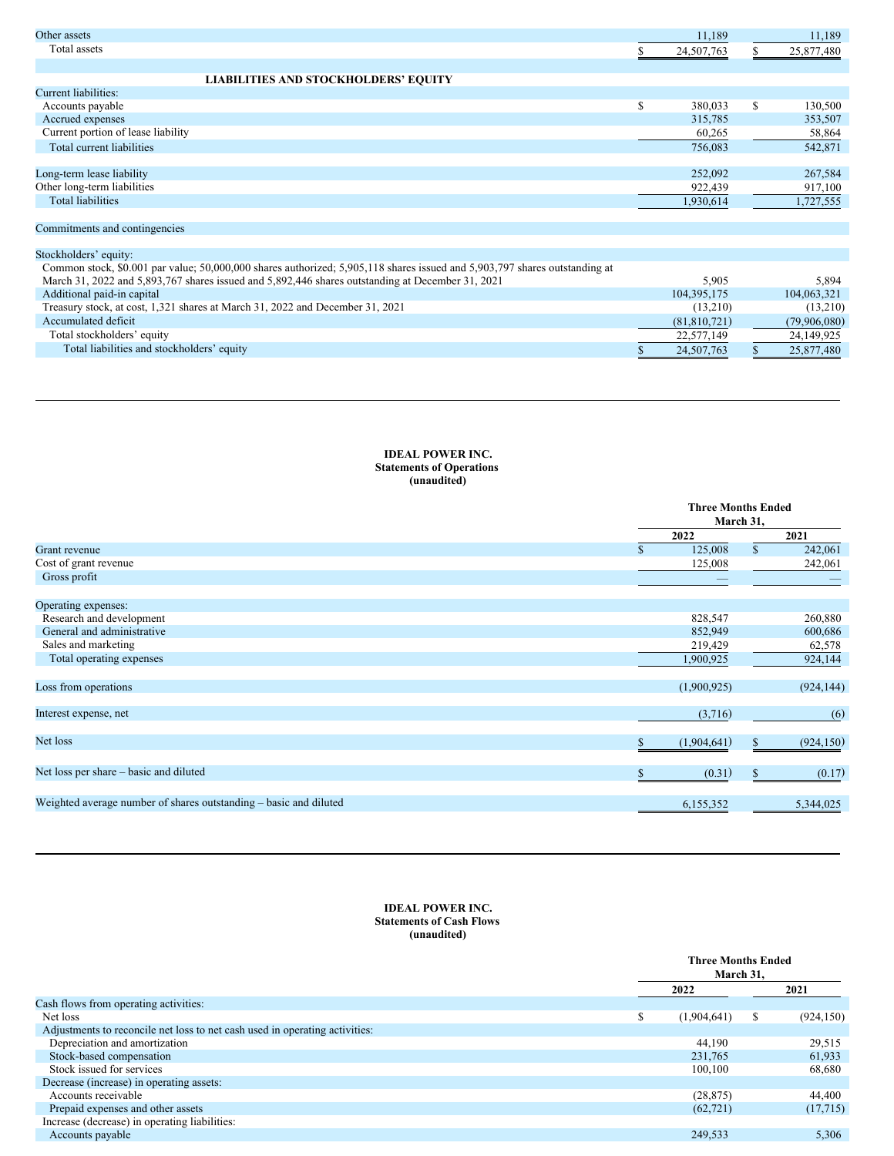| Other assets                                                                                                               | 11,189         |    | 11,189       |
|----------------------------------------------------------------------------------------------------------------------------|----------------|----|--------------|
| Total assets                                                                                                               | 24,507,763     | S  | 25,877,480   |
|                                                                                                                            |                |    |              |
| <b>LIABILITIES AND STOCKHOLDERS' EQUITY</b>                                                                                |                |    |              |
| Current liabilities:                                                                                                       |                |    |              |
| Accounts payable                                                                                                           | \$<br>380,033  | S  | 130,500      |
| Accrued expenses                                                                                                           | 315,785        |    | 353,507      |
| Current portion of lease liability                                                                                         | 60,265         |    | 58,864       |
| Total current liabilities                                                                                                  | 756,083        |    | 542,871      |
|                                                                                                                            |                |    |              |
| Long-term lease liability                                                                                                  | 252,092        |    | 267,584      |
| Other long-term liabilities                                                                                                | 922,439        |    | 917,100      |
| <b>Total liabilities</b>                                                                                                   | 1,930,614      |    | 1,727,555    |
|                                                                                                                            |                |    |              |
| Commitments and contingencies                                                                                              |                |    |              |
|                                                                                                                            |                |    |              |
| Stockholders' equity:                                                                                                      |                |    |              |
| Common stock, \$0.001 par value; 50,000,000 shares authorized; 5,905,118 shares issued and 5,903,797 shares outstanding at |                |    |              |
| March 31, 2022 and 5,893,767 shares issued and 5,892,446 shares outstanding at December 31, 2021                           | 5,905          |    | 5,894        |
| Additional paid-in capital                                                                                                 | 104, 395, 175  |    | 104,063,321  |
| Treasury stock, at cost, 1,321 shares at March 31, 2022 and December 31, 2021                                              | (13,210)       |    | (13,210)     |
| Accumulated deficit                                                                                                        | (81, 810, 721) |    | (79,906,080) |
| Total stockholders' equity                                                                                                 | 22,577,149     |    | 24,149,925   |
| Total liabilities and stockholders' equity                                                                                 | 24,507,763     | S. | 25,877,480   |

## **IDEAL POWER INC. Statements of Operations (unaudited)**

|                                                                   | <b>Three Months Ended</b><br>March 31, |              |            |
|-------------------------------------------------------------------|----------------------------------------|--------------|------------|
|                                                                   | 2022                                   |              | 2021       |
| Grant revenue                                                     | 125,008                                | $\mathbb{S}$ | 242,061    |
| Cost of grant revenue                                             | 125,008                                |              | 242,061    |
| Gross profit                                                      |                                        |              |            |
| Operating expenses:                                               |                                        |              |            |
| Research and development                                          | 828,547                                |              | 260,880    |
| General and administrative                                        | 852,949                                |              | 600,686    |
| Sales and marketing                                               | 219,429                                |              | 62,578     |
| Total operating expenses                                          | 1,900,925                              |              | 924,144    |
| Loss from operations                                              | (1,900,925)                            |              | (924, 144) |
| Interest expense, net                                             | (3,716)                                |              | (6)        |
| Net loss                                                          | (1,904,641)                            | S            | (924, 150) |
| Net loss per share - basic and diluted                            | (0.31)                                 | $\mathbb{S}$ | (0.17)     |
| Weighted average number of shares outstanding – basic and diluted | 6,155,352                              |              | 5,344,025  |

# **IDEAL POWER INC. Statements of Cash Flows (unaudited)**

|                                                                             |     | <b>Three Months Ended</b><br>March 31, |   |            |
|-----------------------------------------------------------------------------|-----|----------------------------------------|---|------------|
|                                                                             |     | 2022                                   |   | 2021       |
| Cash flows from operating activities:                                       |     |                                        |   |            |
| Net loss                                                                    | \$. | (1,904,641)                            | S | (924, 150) |
| Adjustments to reconcile net loss to net cash used in operating activities: |     |                                        |   |            |
| Depreciation and amortization                                               |     | 44,190                                 |   | 29,515     |
| Stock-based compensation                                                    |     | 231,765                                |   | 61,933     |
| Stock issued for services                                                   |     | 100,100                                |   | 68,680     |
| Decrease (increase) in operating assets:                                    |     |                                        |   |            |
| Accounts receivable                                                         |     | (28, 875)                              |   | 44,400     |
| Prepaid expenses and other assets                                           |     | (62, 721)                              |   | (17,715)   |
| Increase (decrease) in operating liabilities:                               |     |                                        |   |            |
| Accounts payable                                                            |     | 249,533                                |   | 5,306      |
|                                                                             |     |                                        |   |            |